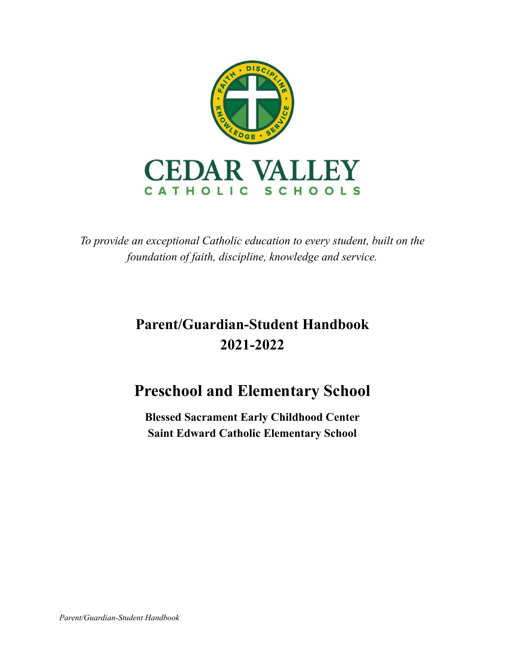

*To provide an exceptional Catholic education to every student, built on the foundation of faith, discipline, knowledge and service.*

# **Parent/Guardian-Student Handbook 2021-2022**

## **Preschool and Elementary School**

**Blessed Sacrament Early Childhood Center Saint Edward Catholic Elementary School**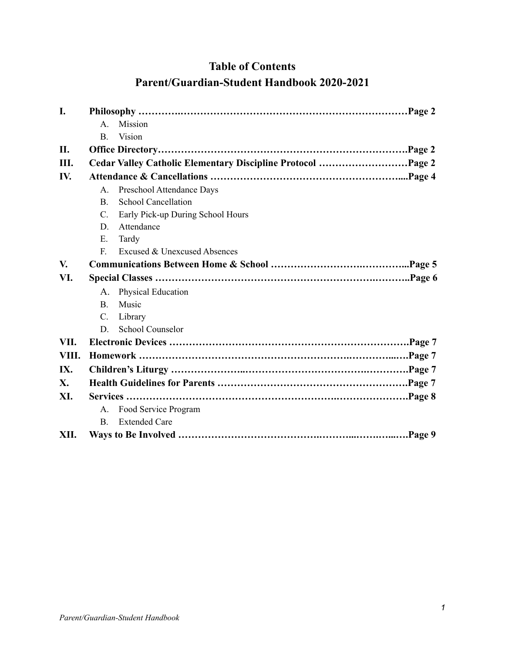## **Table of Contents Parent/Guardian-Student Handbook 2020-2021**

| I.         |                |                                                             |  |  |
|------------|----------------|-------------------------------------------------------------|--|--|
|            | $A_{\cdot}$    | Mission                                                     |  |  |
|            | B.             | Vision                                                      |  |  |
| II.        |                |                                                             |  |  |
| Ш.         |                | Cedar Valley Catholic Elementary Discipline Protocol Page 2 |  |  |
| IV.        |                |                                                             |  |  |
|            | $A_{\cdot}$    | Preschool Attendance Days                                   |  |  |
|            | <sub>B</sub>   | <b>School Cancellation</b>                                  |  |  |
|            | $\mathbf{C}$ . | Early Pick-up During School Hours                           |  |  |
|            | D              | Attendance                                                  |  |  |
|            | Е.             | Tardy                                                       |  |  |
|            | $\mathbf{F}$   | Excused & Unexcused Absences                                |  |  |
| V.         |                |                                                             |  |  |
| VI.        |                |                                                             |  |  |
|            | A.             | <b>Physical Education</b>                                   |  |  |
|            | <b>B.</b>      | Music                                                       |  |  |
|            | $C_{\cdot}$    | Library                                                     |  |  |
|            | D              | <b>School Counselor</b>                                     |  |  |
| VII.       |                |                                                             |  |  |
| VIII.      |                |                                                             |  |  |
| IX.        |                |                                                             |  |  |
| <b>X</b> . |                |                                                             |  |  |
| XI.        |                |                                                             |  |  |
|            | $\mathsf{A}$ . | Food Service Program                                        |  |  |
|            | <sub>B</sub>   | <b>Extended Care</b>                                        |  |  |
| XII.       |                | Page 9                                                      |  |  |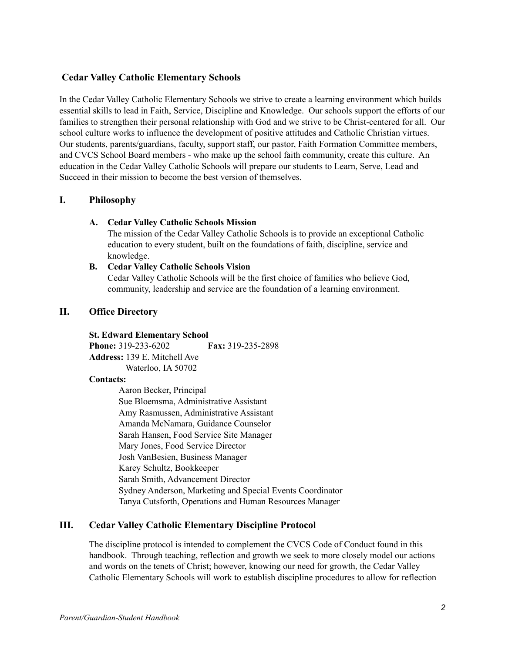## **Cedar Valley Catholic Elementary Schools**

In the Cedar Valley Catholic Elementary Schools we strive to create a learning environment which builds essential skills to lead in Faith, Service, Discipline and Knowledge. Our schools support the efforts of our families to strengthen their personal relationship with God and we strive to be Christ-centered for all. Our school culture works to influence the development of positive attitudes and Catholic Christian virtues. Our students, parents/guardians, faculty, support staff, our pastor, Faith Formation Committee members, and CVCS School Board members - who make up the school faith community, create this culture. An education in the Cedar Valley Catholic Schools will prepare our students to Learn, Serve, Lead and Succeed in their mission to become the best version of themselves.

## **I. Philosophy**

## **A. Cedar Valley Catholic Schools Mission**

The mission of the Cedar Valley Catholic Schools is to provide an exceptional Catholic education to every student, built on the foundations of faith, discipline, service and knowledge.

## **B. Cedar Valley Catholic Schools Vision**

Cedar Valley Catholic Schools will be the first choice of families who believe God, community, leadership and service are the foundation of a learning environment.

## **II. Office Directory**

## **St. Edward Elementary School**

**Phone:** 319-233-6202 **Fax:** 319-235-2898 **Address:** 139 E. Mitchell Ave Waterloo, IA 50702

#### **Contacts:**

Aaron Becker, Principal Sue Bloemsma, Administrative Assistant Amy Rasmussen, Administrative Assistant Amanda McNamara, Guidance Counselor Sarah Hansen, Food Service Site Manager Mary Jones, Food Service Director Josh VanBesien, Business Manager Karey Schultz, Bookkeeper Sarah Smith, Advancement Director Sydney Anderson, Marketing and Special Events Coordinator Tanya Cutsforth, Operations and Human Resources Manager

## **III. Cedar Valley Catholic Elementary Discipline Protocol**

The discipline protocol is intended to complement the CVCS Code of Conduct found in this handbook. Through teaching, reflection and growth we seek to more closely model our actions and words on the tenets of Christ; however, knowing our need for growth, the Cedar Valley Catholic Elementary Schools will work to establish discipline procedures to allow for reflection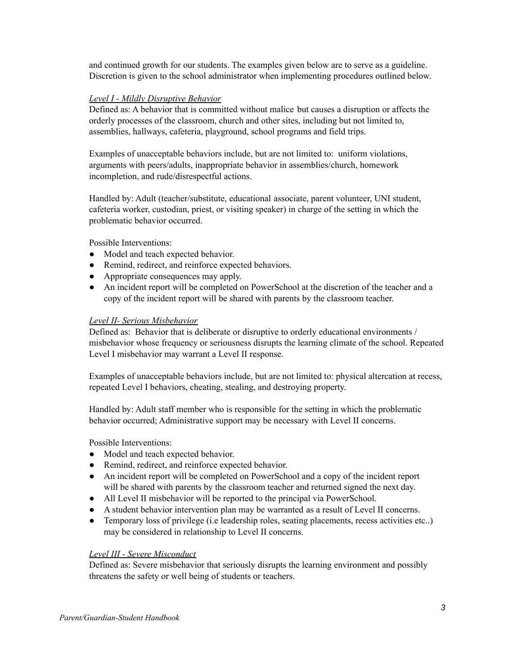and continued growth for our students. The examples given below are to serve as a guideline. Discretion is given to the school administrator when implementing procedures outlined below.

## *Level I - Mildly Disruptive Behavior*

Defined as: A behavior that is committed without malice but causes a disruption or affects the orderly processes of the classroom, church and other sites, including but not limited to, assemblies, hallways, cafeteria, playground, school programs and field trips.

Examples of unacceptable behaviors include, but are not limited to: uniform violations, arguments with peers/adults, inappropriate behavior in assemblies/church, homework incompletion, and rude/disrespectful actions.

Handled by: Adult (teacher/substitute, educational associate, parent volunteer, UNI student, cafeteria worker, custodian, priest, or visiting speaker) in charge of the setting in which the problematic behavior occurred.

Possible Interventions:

- Model and teach expected behavior.
- Remind, redirect, and reinforce expected behaviors.
- Appropriate consequences may apply.
- An incident report will be completed on PowerSchool at the discretion of the teacher and a copy of the incident report will be shared with parents by the classroom teacher.

## *Level II- Serious Misbehavior*

Defined as: Behavior that is deliberate or disruptive to orderly educational environments / misbehavior whose frequency or seriousness disrupts the learning climate of the school. Repeated Level I misbehavior may warrant a Level II response.

Examples of unacceptable behaviors include, but are not limited to: physical altercation at recess, repeated Level I behaviors, cheating, stealing, and destroying property.

Handled by: Adult staff member who is responsible for the setting in which the problematic behavior occurred; Administrative support may be necessary with Level II concerns.

Possible Interventions:

- Model and teach expected behavior.
- Remind, redirect, and reinforce expected behavior.
- An incident report will be completed on PowerSchool and a copy of the incident report will be shared with parents by the classroom teacher and returned signed the next day.
- All Level II misbehavior will be reported to the principal via PowerSchool.
- A student behavior intervention plan may be warranted as a result of Level II concerns.
- Temporary loss of privilege (i.e leadership roles, seating placements, recess activities etc..) may be considered in relationship to Level II concerns.

## *Level III - Severe Misconduct*

Defined as: Severe misbehavior that seriously disrupts the learning environment and possibly threatens the safety or well being of students or teachers.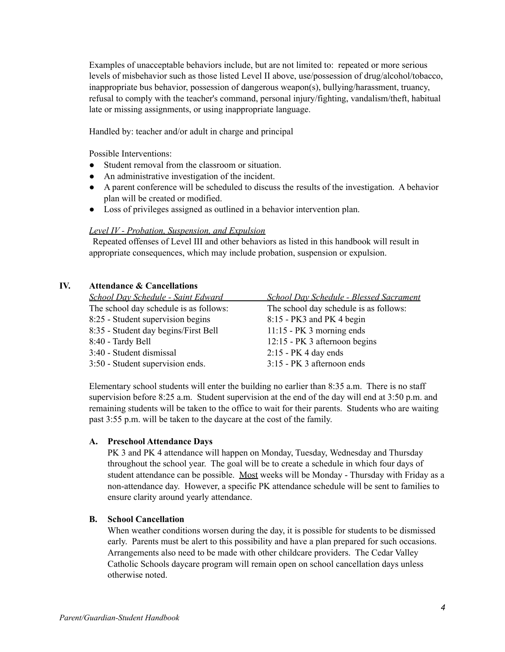Examples of unacceptable behaviors include, but are not limited to: repeated or more serious levels of misbehavior such as those listed Level II above, use/possession of drug/alcohol/tobacco, inappropriate bus behavior, possession of dangerous weapon(s), bullying/harassment, truancy, refusal to comply with the teacher's command, personal injury/fighting, vandalism/theft, habitual late or missing assignments, or using inappropriate language.

Handled by: teacher and/or adult in charge and principal

Possible Interventions:

- Student removal from the classroom or situation.
- An administrative investigation of the incident.
- A parent conference will be scheduled to discuss the results of the investigation. A behavior plan will be created or modified.
- Loss of privileges assigned as outlined in a behavior intervention plan.

#### *Level IV - Probation, Suspension, and Expulsion*

Repeated offenses of Level III and other behaviors as listed in this handbook will result in appropriate consequences, which may include probation, suspension or expulsion.

| IV. | <b>Attendance &amp; Cancellations</b>  |                                                |  |  |
|-----|----------------------------------------|------------------------------------------------|--|--|
|     | School Day Schedule - Saint Edward     | <b>School Day Schedule - Blessed Sacrament</b> |  |  |
|     | The school day schedule is as follows: | The school day schedule is as follows:         |  |  |
|     | 8:25 - Student supervision begins      | 8:15 - PK3 and PK4 begin                       |  |  |
|     | 8:35 - Student day begins/First Bell   | $11:15$ - PK 3 morning ends                    |  |  |
|     | 8:40 - Tardy Bell                      | 12:15 - PK 3 afternoon begins                  |  |  |
|     | 3:40 - Student dismissal               | $2:15$ - PK 4 day ends                         |  |  |
|     | 3:50 - Student supervision ends.       | 3:15 - PK 3 afternoon ends                     |  |  |
|     |                                        |                                                |  |  |

Elementary school students will enter the building no earlier than 8:35 a.m. There is no staff supervision before 8:25 a.m. Student supervision at the end of the day will end at 3:50 p.m. and remaining students will be taken to the office to wait for their parents. Students who are waiting past 3:55 p.m. will be taken to the daycare at the cost of the family.

#### **A. Preschool Attendance Days**

PK 3 and PK 4 attendance will happen on Monday, Tuesday, Wednesday and Thursday throughout the school year. The goal will be to create a schedule in which four days of student attendance can be possible. Most weeks will be Monday - Thursday with Friday as a non-attendance day. However, a specific PK attendance schedule will be sent to families to ensure clarity around yearly attendance.

#### **B. School Cancellation**

When weather conditions worsen during the day, it is possible for students to be dismissed early. Parents must be alert to this possibility and have a plan prepared for such occasions. Arrangements also need to be made with other childcare providers. The Cedar Valley Catholic Schools daycare program will remain open on school cancellation days unless otherwise noted.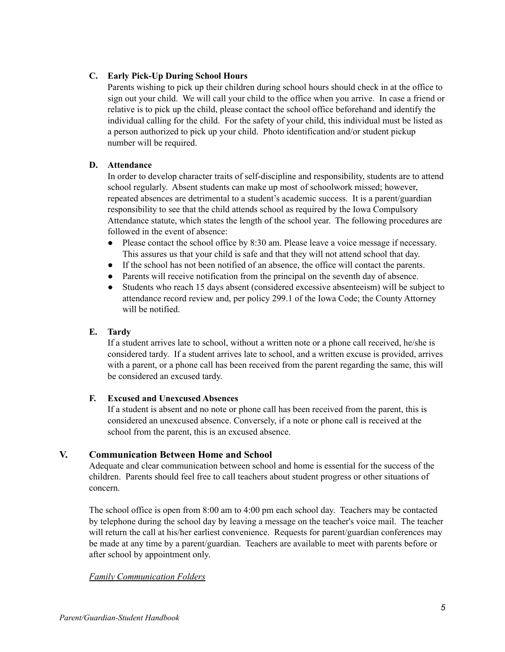## **C. Early Pick-Up During School Hours**

Parents wishing to pick up their children during school hours should check in at the office to sign out your child. We will call your child to the office when you arrive. In case a friend or relative is to pick up the child, please contact the school office beforehand and identify the individual calling for the child. For the safety of your child, this individual must be listed as a person authorized to pick up your child. Photo identification and/or student pickup number will be required.

## **D. Attendance**

In order to develop character traits of self-discipline and responsibility, students are to attend school regularly. Absent students can make up most of schoolwork missed; however, repeated absences are detrimental to a student's academic success. It is a parent/guardian responsibility to see that the child attends school as required by the Iowa Compulsory Attendance statute, which states the length of the school year. The following procedures are followed in the event of absence:

- Please contact the school office by 8:30 am. Please leave a voice message if necessary. This assures us that your child is safe and that they will not attend school that day.
- If the school has not been notified of an absence, the office will contact the parents.
- Parents will receive notification from the principal on the seventh day of absence.
- Students who reach 15 days absent (considered excessive absenteeism) will be subject to attendance record review and, per policy 299.1 of the Iowa Code; the County Attorney will be notified.

## **E. Tardy**

If a student arrives late to school, without a written note or a phone call received, he/she is considered tardy. If a student arrives late to school, and a written excuse is provided, arrives with a parent, or a phone call has been received from the parent regarding the same, this will be considered an excused tardy.

## **F. Excused and Unexcused Absences**

If a student is absent and no note or phone call has been received from the parent, this is considered an unexcused absence. Conversely, if a note or phone call is received at the school from the parent, this is an excused absence.

## **V. Communication Between Home and School**

Adequate and clear communication between school and home is essential for the success of the children. Parents should feel free to call teachers about student progress or other situations of concern.

The school office is open from 8:00 am to 4:00 pm each school day. Teachers may be contacted by telephone during the school day by leaving a message on the teacher's voice mail. The teacher will return the call at his/her earliest convenience. Requests for parent/guardian conferences may be made at any time by a parent/guardian. Teachers are available to meet with parents before or after school by appointment only.

## *Family Communication Folders*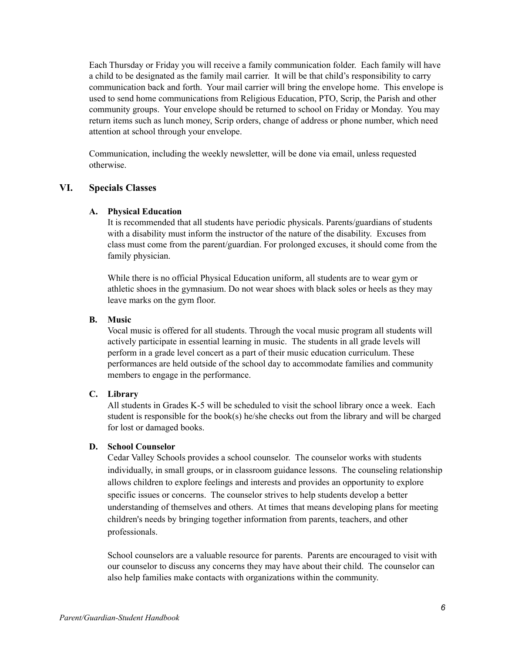Each Thursday or Friday you will receive a family communication folder. Each family will have a child to be designated as the family mail carrier. It will be that child's responsibility to carry communication back and forth. Your mail carrier will bring the envelope home. This envelope is used to send home communications from Religious Education, PTO, Scrip, the Parish and other community groups. Your envelope should be returned to school on Friday or Monday. You may return items such as lunch money, Scrip orders, change of address or phone number, which need attention at school through your envelope.

Communication, including the weekly newsletter, will be done via email, unless requested otherwise.

#### **VI. Specials Classes**

#### **A. Physical Education**

It is recommended that all students have periodic physicals. Parents/guardians of students with a disability must inform the instructor of the nature of the disability. Excuses from class must come from the parent/guardian. For prolonged excuses, it should come from the family physician.

While there is no official Physical Education uniform, all students are to wear gym or athletic shoes in the gymnasium. Do not wear shoes with black soles or heels as they may leave marks on the gym floor.

#### **B. Music**

Vocal music is offered for all students. Through the vocal music program all students will actively participate in essential learning in music. The students in all grade levels will perform in a grade level concert as a part of their music education curriculum. These performances are held outside of the school day to accommodate families and community members to engage in the performance.

## **C. Library**

All students in Grades K-5 will be scheduled to visit the school library once a week. Each student is responsible for the book(s) he/she checks out from the library and will be charged for lost or damaged books.

#### **D. School Counselor**

Cedar Valley Schools provides a school counselor. The counselor works with students individually, in small groups, or in classroom guidance lessons. The counseling relationship allows children to explore feelings and interests and provides an opportunity to explore specific issues or concerns. The counselor strives to help students develop a better understanding of themselves and others. At times that means developing plans for meeting children's needs by bringing together information from parents, teachers, and other professionals.

School counselors are a valuable resource for parents. Parents are encouraged to visit with our counselor to discuss any concerns they may have about their child. The counselor can also help families make contacts with organizations within the community.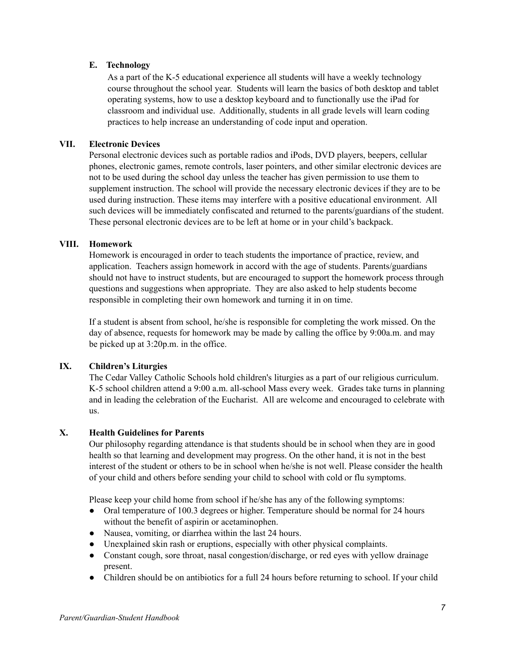## **E. Technology**

As a part of the K-5 educational experience all students will have a weekly technology course throughout the school year. Students will learn the basics of both desktop and tablet operating systems, how to use a desktop keyboard and to functionally use the iPad for classroom and individual use. Additionally, students in all grade levels will learn coding practices to help increase an understanding of code input and operation.

## **VII. Electronic Devices**

Personal electronic devices such as portable radios and iPods, DVD players, beepers, cellular phones, electronic games, remote controls, laser pointers, and other similar electronic devices are not to be used during the school day unless the teacher has given permission to use them to supplement instruction. The school will provide the necessary electronic devices if they are to be used during instruction. These items may interfere with a positive educational environment. All such devices will be immediately confiscated and returned to the parents/guardians of the student. These personal electronic devices are to be left at home or in your child's backpack.

## **VIII. Homework**

Homework is encouraged in order to teach students the importance of practice, review, and application. Teachers assign homework in accord with the age of students. Parents/guardians should not have to instruct students, but are encouraged to support the homework process through questions and suggestions when appropriate. They are also asked to help students become responsible in completing their own homework and turning it in on time.

If a student is absent from school, he/she is responsible for completing the work missed. On the day of absence, requests for homework may be made by calling the office by 9:00a.m. and may be picked up at 3:20p.m. in the office.

## **IX. Children's Liturgies**

The Cedar Valley Catholic Schools hold children's liturgies as a part of our religious curriculum. K-5 school children attend a 9:00 a.m. all-school Mass every week. Grades take turns in planning and in leading the celebration of the Eucharist. All are welcome and encouraged to celebrate with us.

## **X. Health Guidelines for Parents**

Our philosophy regarding attendance is that students should be in school when they are in good health so that learning and development may progress. On the other hand, it is not in the best interest of the student or others to be in school when he/she is not well. Please consider the health of your child and others before sending your child to school with cold or flu symptoms.

Please keep your child home from school if he/she has any of the following symptoms:

- Oral temperature of 100.3 degrees or higher. Temperature should be normal for 24 hours without the benefit of aspirin or acetaminophen.
- Nausea, vomiting, or diarrhea within the last 24 hours.
- Unexplained skin rash or eruptions, especially with other physical complaints.
- Constant cough, sore throat, nasal congestion/discharge, or red eyes with yellow drainage present.
- Children should be on antibiotics for a full 24 hours before returning to school. If your child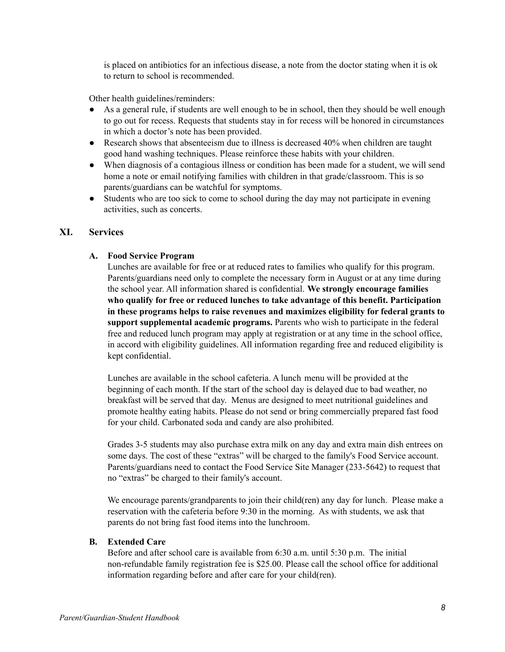is placed on antibiotics for an infectious disease, a note from the doctor stating when it is ok to return to school is recommended.

Other health guidelines/reminders:

- As a general rule, if students are well enough to be in school, then they should be well enough to go out for recess. Requests that students stay in for recess will be honored in circumstances in which a doctor's note has been provided.
- Research shows that absenteeism due to illness is decreased 40% when children are taught good hand washing techniques. Please reinforce these habits with your children.
- When diagnosis of a contagious illness or condition has been made for a student, we will send home a note or email notifying families with children in that grade/classroom. This is so parents/guardians can be watchful for symptoms.
- Students who are too sick to come to school during the day may not participate in evening activities, such as concerts.

## **XI. Services**

## **A. Food Service Program**

Lunches are available for free or at reduced rates to families who qualify for this program. Parents/guardians need only to complete the necessary form in August or at any time during the school year. All information shared is confidential. **We strongly encourage families who qualify for free or reduced lunches to take advantage of this benefit. Participation in these programs helps to raise revenues and maximizes eligibility for federal grants to support supplemental academic programs.** Parents who wish to participate in the federal free and reduced lunch program may apply at registration or at any time in the school office, in accord with eligibility guidelines. All information regarding free and reduced eligibility is kept confidential.

Lunches are available in the school cafeteria. A lunch menu will be provided at the beginning of each month. If the start of the school day is delayed due to bad weather, no breakfast will be served that day. Menus are designed to meet nutritional guidelines and promote healthy eating habits. Please do not send or bring commercially prepared fast food for your child. Carbonated soda and candy are also prohibited.

Grades 3-5 students may also purchase extra milk on any day and extra main dish entrees on some days. The cost of these "extras" will be charged to the family's Food Service account. Parents/guardians need to contact the Food Service Site Manager (233-5642) to request that no "extras" be charged to their family's account.

We encourage parents/grandparents to join their child(ren) any day for lunch. Please make a reservation with the cafeteria before 9:30 in the morning. As with students, we ask that parents do not bring fast food items into the lunchroom.

## **B. Extended Care**

Before and after school care is available from 6:30 a.m. until 5:30 p.m. The initial non-refundable family registration fee is \$25.00. Please call the school office for additional information regarding before and after care for your child(ren).